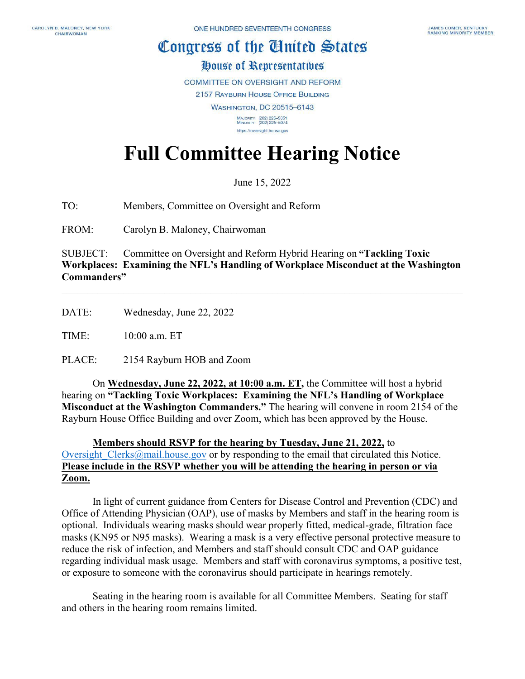## Congress of the Ginited States

## House of Representatives

COMMITTEE ON OVERSIGHT AND REFORM

2157 RAYBURN HOUSE OFFICE BUILDING

**WASHINGTON, DC 20515-6143** 

MAJORITY (202) 225-5051<br>MINORITY (202) 225-5074 https://oversight.house.gov

## **Full Committee Hearing Notice**

June 15, 2022

TO: Members, Committee on Oversight and Reform

FROM: Carolyn B. Maloney, Chairwoman

SUBJECT: Committee on Oversight and Reform Hybrid Hearing on **"Tackling Toxic Workplaces: Examining the NFL's Handling of Workplace Misconduct at the Washington Commanders"**

\_\_\_\_\_\_\_\_\_\_\_\_\_\_\_\_\_\_\_\_\_\_\_\_\_\_\_\_\_\_\_\_\_\_\_\_\_\_\_\_\_\_\_\_\_\_\_\_\_\_\_\_\_\_\_\_\_\_\_\_\_\_\_\_\_\_\_\_\_\_\_\_\_\_\_\_\_\_

DATE: Wednesday, June 22, 2022

TIME: 10:00 a.m. ET

PLACE: 2154 Rayburn HOB and Zoom

On **Wednesday, June 22, 2022, at 10:00 a.m. ET,** the Committee will host a hybrid hearing on **"Tackling Toxic Workplaces: Examining the NFL's Handling of Workplace Misconduct at the Washington Commanders."** The hearing will convene in room 2154 of the Rayburn House Office Building and over Zoom, which has been approved by the House.

## **Members should RSVP for the hearing by Tuesday, June 21, 2022,** to Oversight Clerks@mail.house.gov or by responding to the email that circulated this Notice. **Please include in the RSVP whether you will be attending the hearing in person or via Zoom.**

In light of current guidance from Centers for Disease Control and Prevention (CDC) and Office of Attending Physician (OAP), use of masks by Members and staff in the hearing room is optional. Individuals wearing masks should wear properly fitted, medical-grade, filtration face masks (KN95 or N95 masks). Wearing a mask is a very effective personal protective measure to reduce the risk of infection, and Members and staff should consult CDC and OAP guidance regarding individual mask usage. Members and staff with coronavirus symptoms, a positive test, or exposure to someone with the coronavirus should participate in hearings remotely.

Seating in the hearing room is available for all Committee Members. Seating for staff and others in the hearing room remains limited.